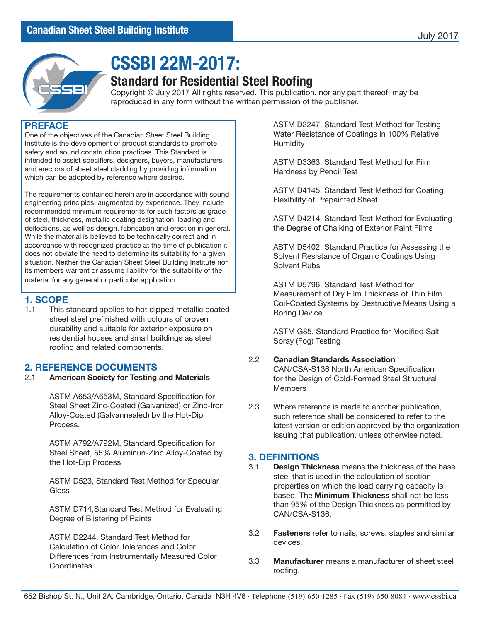

# **CSSBI 22M-2017:**

## **Standard for Residential Steel Roofing**

Copyright © July 2017 All rights reserved. This publication, nor any part thereof, may be reproduced in any form without the written permission of the publisher.

### **PREFACE**

One of the objectives of the Canadian Sheet Steel Building Institute is the development of product standards to promote safety and sound construction practices. This Standard is intended to assist specifiers, designers, buyers, manufacturers, and erectors of sheet steel cladding by providing information which can be adopted by reference where desired.

The requirements contained herein are in accordance with sound engineering principles, augmented by experience. They include recommended minimum requirements for such factors as grade of steel, thickness, metallic coating designation, loading and deflections, as well as design, fabrication and erection in general. While the material is believed to be technically correct and in accordance with recognized practice at the time of publication it does not obviate the need to determine its suitability for a given situation. Neither the Canadian Sheet Steel Building Institute nor its members warrant or assume liability for the suitability of the material for any general or particular application.

# **1. SCOPE**<br>11 This s

This standard applies to hot dipped metallic coated sheet steel prefinished with colours of proven durability and suitable for exterior exposure on residential houses and small buildings as steel roofing and related components.

### **2. REFERENCE DOCUMENTS**

2.1 **American Society for Testing and Materials**

ASTM A653/A653M, Standard Specification for Steel Sheet Zinc-Coated (Galvanized) or Zinc-Iron Alloy-Coated (Galvannealed) by the Hot-Dip Process.

ASTM A792/A792M, Standard Specification for Steel Sheet, 55% Aluminun-Zinc Alloy-Coated by the Hot-Dip Process

ASTM D523, Standard Test Method for Specular **Gloss** 

ASTM D714,Standard Test Method for Evaluating Degree of Blistering of Paints

ASTM D2244, Standard Test Method for Calculation of Color Tolerances and Color Differences from Instrumentally Measured Color **Coordinates** 

ASTM D2247, Standard Test Method for Testing Water Resistance of Coatings in 100% Relative Humidity

ASTM D3363, Standard Test Method for Film Hardness by Pencil Test

ASTM D4145, Standard Test Method for Coating Flexibility of Prepainted Sheet

ASTM D4214, Standard Test Method for Evaluating the Degree of Chalking of Exterior Paint Films

ASTM D5402, Standard Practice for Assessing the Solvent Resistance of Organic Coatings Using Solvent Rubs

ASTM D5796, Standard Test Method for Measurement of Dry Film Thickness of Thin Film Coil-Coated Systems by Destructive Means Using a Boring Device

ASTM G85, Standard Practice for Modified Salt Spray (Fog) Testing

### 2.2 **Canadian Standards Association**

CAN/CSA-S136 North American Specification for the Design of Cold-Formed Steel Structural Members

2.3 Where reference is made to another publication, such reference shall be considered to refer to the latest version or edition approved by the organization issuing that publication, unless otherwise noted.

# **3. DEFINITIONS**

- **Design Thickness** means the thickness of the base steel that is used in the calculation of section properties on which the load carrying capacity is based. The **Minimum Thickness** shall not be less than 95% of the Design Thickness as permitted by CAN/CSA-S136.
- 3.2 **Fasteners** refer to nails, screws, staples and similar devices.
- 3.3 **Manufacturer** means a manufacturer of sheet steel roofing.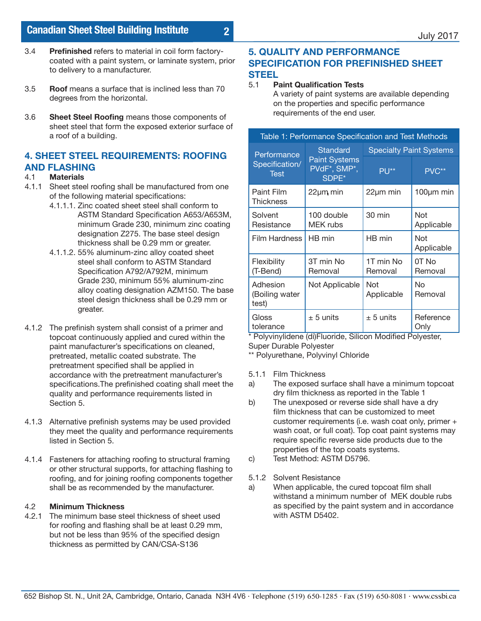- 3.4 **Prefinished** refers to material in coil form factorycoated with a paint system, or laminate system, prior to delivery to a manufacturer.
- 3.5 **Roof** means a surface that is inclined less than 70 degrees from the horizontal.
- 3.6 **Sheet Steel Roofing** means those components of sheet steel that form the exposed exterior surface of a roof of a building.

## **4. SHEET STEEL REQUIREMENTS: ROOFING AND FLASHING**

- 4.1 **Materials**
- 4.1.1 Sheet steel roofing shall be manufactured from one of the following material specifications:
	- 4.1.1.1. Zinc coated sheet steel shall conform to ASTM Standard Specification A653/A653M, minimum Grade 230, minimum zinc coating designation Z275. The base steel design thickness shall be 0.29 mm or greater.
	- 4.1.1.2. 55% aluminum-zinc alloy coated sheet steel shall conform to ASTM Standard Specification A792/A792M, minimum Grade 230, minimum 55% aluminum-zinc alloy coating designation AZM150. The base steel design thickness shall be 0.29 mm or greater.
- 4.1.2 The prefinish system shall consist of a primer and topcoat continuously applied and cured within the paint manufacturer's specifications on cleaned, pretreated, metallic coated substrate. The pretreatment specified shall be applied in accordance with the pretreatment manufacturer's specifications.The prefinished coating shall meet the quality and performance requirements listed in Section 5.
- 4.1.3 Alternative prefinish systems may be used provided they meet the quality and performance requirements listed in Section 5.
- 4.1.4 Fasteners for attaching roofing to structural framing or other structural supports, for attaching flashing to roofing, and for joining roofing components together shall be as recommended by the manufacturer.

## 4.2 **Minimum Thickness**

The minimum base steel thickness of sheet used for roofing and flashing shall be at least 0.29 mm, but not be less than 95% of the specified design thickness as permitted by CAN/CSA-S136

### **5. QUALITY AND PERFORMANCE SPECIFICATION FOR PREFINISHED SHEET STEEL**

### 5.1 **Paint Qualification Tests**

**2**

A variety of paint systems are available depending on the properties and specific performance requirements of the end user.

| Table 1: Performance Specification and Test Methods |                                                           |                                |                   |  |
|-----------------------------------------------------|-----------------------------------------------------------|--------------------------------|-------------------|--|
| Performance<br>Specification/<br><b>Test</b>        | Standard<br><b>Paint Systems</b><br>PVdF*, SMP*,<br>SDPE* | <b>Specialty Paint Systems</b> |                   |  |
|                                                     |                                                           | $P U^{**}$                     | PVC**             |  |
| Paint Film<br>Thickness                             | 22µm min                                                  | $22 \mu m$ min                 | $100 \mu m$ min   |  |
| Solvent<br>Resistance                               | 100 double<br><b>MEK</b> rubs                             | 30 min                         | Not<br>Applicable |  |
| <b>Film Hardness</b>                                | HB min                                                    | HB min                         | Not<br>Applicable |  |
| Flexibility<br>(T-Bend)                             | 3T min No<br>Removal                                      | 1T min No<br>Removal           | 0T No<br>Removal  |  |
| Adhesion<br>(Boiling water<br>test)                 | Not Applicable                                            | Not<br>Applicable              | No<br>Removal     |  |
| Gloss<br>tolerance                                  | $\pm$ 5 units                                             | $\pm$ 5 units                  | Reference<br>Only |  |

\* Polyvinylidene (di)Fluoride, Silicon Modified Polyester, Super Durable Polyester

\*\* Polyurethane, Polyvinyl Chloride

- 5.1.1 Film Thickness
- a) The exposed surface shall have a minimum topcoat dry film thickness as reported in the Table 1
- b) The unexposed or reverse side shall have a dry film thickness that can be customized to meet customer requirements (i.e. wash coat only, primer + wash coat, or full coat). Top coat paint systems may require specific reverse side products due to the properties of the top coats systems.
- c) Test Method: ASTM D5796.
- 5.1.2 Solvent Resistance
- a) When applicable, the cured topcoat film shall withstand a minimum number of MEK double rubs as specified by the paint system and in accordance with ASTM D5402.